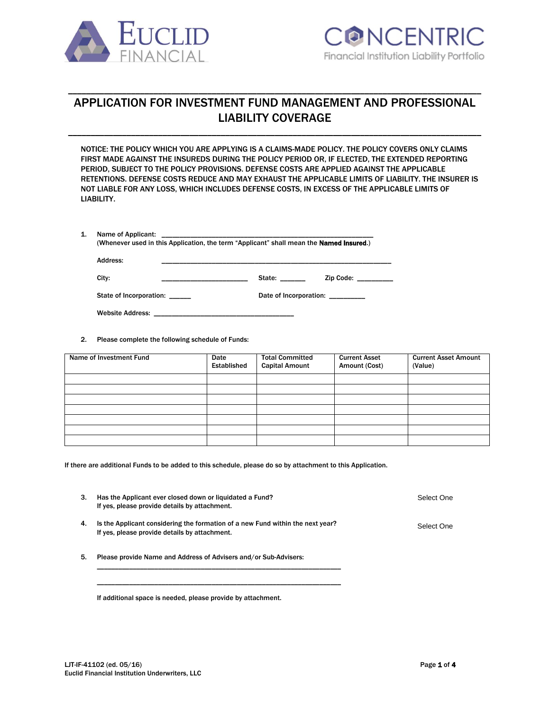



# APPLICATION FOR INVESTMENT FUND MANAGEMENT AND PROFESSIONAL LIABILITY COVERAGE

\_\_\_\_\_\_\_\_\_\_\_\_\_\_\_\_\_\_\_\_\_\_\_\_\_\_\_\_\_\_\_\_\_\_\_\_\_\_\_\_\_\_\_\_\_\_\_\_\_\_\_\_\_\_\_\_\_\_\_\_\_\_\_\_\_\_\_\_\_\_\_\_\_\_\_\_\_\_\_\_\_\_\_\_\_\_\_\_\_\_\_\_

\_\_\_\_\_\_\_\_\_\_\_\_\_\_\_\_\_\_\_\_\_\_\_\_\_\_\_\_\_\_\_\_\_\_\_\_\_\_\_\_\_\_\_\_\_\_\_\_\_\_\_\_\_\_\_\_\_\_\_\_\_\_\_\_\_\_\_\_\_\_\_\_\_\_\_\_\_\_\_\_\_\_\_\_\_\_\_\_\_\_\_\_

NOTICE: THE POLICY WHICH YOU ARE APPLYING IS A CLAIMS-MADE POLICY. THE POLICY COVERS ONLY CLAIMS FIRST MADE AGAINST THE INSUREDS DURING THE POLICY PERIOD OR, IF ELECTED, THE EXTENDED REPORTING PERIOD, SUBJECT TO THE POLICY PROVISIONS. DEFENSE COSTS ARE APPLIED AGAINST THE APPLICABLE RETENTIONS. DEFENSE COSTS REDUCE AND MAY EXHAUST THE APPLICABLE LIMITS OF LIABILITY. THE INSURER IS NOT LIABLE FOR ANY LOSS, WHICH INCLUDES DEFENSE COSTS, IN EXCESS OF THE APPLICABLE LIMITS OF LIABILITY.

| Name of Applicant:                                                                              |  |  |
|-------------------------------------------------------------------------------------------------|--|--|
| (Whenever used in this Application, the term "Applicant" shall mean the <b>Named Insured.</b> ) |  |  |

| Address:                |                        |  |  |
|-------------------------|------------------------|--|--|
| City:                   | State:<br>Zip Code:    |  |  |
| State of Incorporation: | Date of Incorporation: |  |  |
| <b>Website Address:</b> |                        |  |  |

2. Please complete the following schedule of Funds:

| Name of Investment Fund | Date<br>Established | <b>Total Committed</b><br><b>Capital Amount</b> | <b>Current Asset</b><br>Amount (Cost) | <b>Current Asset Amount</b><br>(Value) |
|-------------------------|---------------------|-------------------------------------------------|---------------------------------------|----------------------------------------|
|                         |                     |                                                 |                                       |                                        |
|                         |                     |                                                 |                                       |                                        |
|                         |                     |                                                 |                                       |                                        |
|                         |                     |                                                 |                                       |                                        |
|                         |                     |                                                 |                                       |                                        |
|                         |                     |                                                 |                                       |                                        |
|                         |                     |                                                 |                                       |                                        |

If there are additional Funds to be added to this schedule, please do so by attachment to this Application.

| 3. | Has the Applicant ever closed down or liquidated a Fund?<br>If yes, please provide details by attachment.                       | Select One |
|----|---------------------------------------------------------------------------------------------------------------------------------|------------|
| 4. | Is the Applicant considering the formation of a new Fund within the next year?<br>If yes, please provide details by attachment. | Select One |

5. Please provide Name and Address of Advisers and/or Sub-Advisers:

\_\_\_\_\_\_\_\_\_\_\_\_\_\_\_\_\_\_\_\_\_\_\_\_\_\_\_\_\_\_\_\_\_\_\_\_\_\_\_\_\_\_\_\_\_\_\_\_\_\_\_\_\_\_\_\_\_\_\_\_\_\_\_\_\_\_\_\_ \_\_\_\_\_\_\_\_\_\_\_\_\_\_\_\_\_\_\_\_\_\_\_\_\_\_\_\_\_\_\_\_\_\_\_\_\_\_\_\_\_\_\_\_\_\_\_\_\_\_\_\_\_\_\_\_\_\_\_\_\_\_\_\_\_\_\_\_

If additional space is needed, please provide by attachment.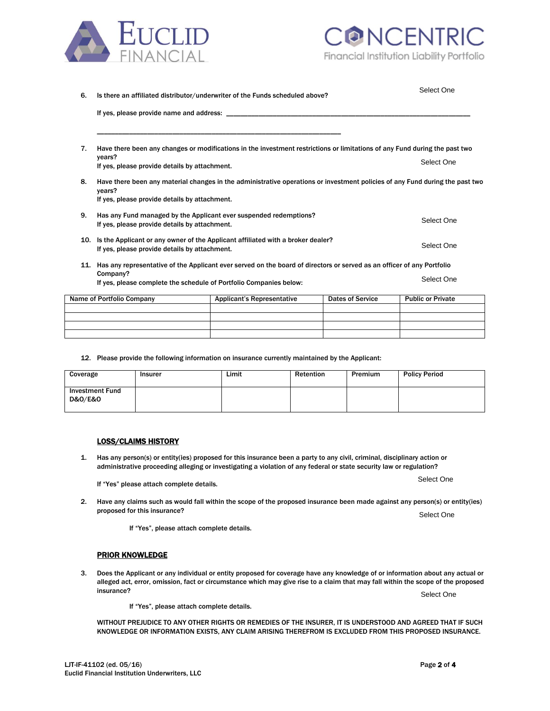



| 6.  | Is there an affiliated distributor/underwriter of the Funds scheduled above?                                                           | Select One                        |                         |                          |  |
|-----|----------------------------------------------------------------------------------------------------------------------------------------|-----------------------------------|-------------------------|--------------------------|--|
|     | If yes, please provide name and address: ____________                                                                                  |                                   |                         |                          |  |
| 7.  | Have there been any changes or modifications in the investment restrictions or limitations of any Fund during the past two             |                                   |                         |                          |  |
|     | years?<br>If yes, please provide details by attachment.                                                                                |                                   |                         | Select One               |  |
| 8.  | Have there been any material changes in the administrative operations or investment policies of any Fund during the past two<br>years? |                                   |                         |                          |  |
|     | If yes, please provide details by attachment.                                                                                          |                                   |                         |                          |  |
| 9.  | Has any Fund managed by the Applicant ever suspended redemptions?<br>If yes, please provide details by attachment.                     |                                   |                         | Select One               |  |
|     | 10. Is the Applicant or any owner of the Applicant affiliated with a broker dealer?<br>If yes, please provide details by attachment.   |                                   |                         |                          |  |
| 11. | Has any representative of the Applicant ever served on the board of directors or served as an officer of any Portfolio                 |                                   |                         |                          |  |
|     | Company?<br>If yes, please complete the schedule of Portfolio Companies below:                                                         | Select One                        |                         |                          |  |
|     | Name of Portfolio Company                                                                                                              | <b>Applicant's Representative</b> | <b>Dates of Service</b> | <b>Public or Private</b> |  |
|     |                                                                                                                                        |                                   |                         |                          |  |

12. Please provide the following information on insurance currently maintained by the Applicant:

| Coverage                                         | <b>Insurer</b> | Limit | Retention | Premium | <b>Policy Period</b> |
|--------------------------------------------------|----------------|-------|-----------|---------|----------------------|
| <b>Investment Fund</b><br><b>D&amp;O/E&amp;O</b> |                |       |           |         |                      |

#### LOSS/CLAIMS HISTORY

1. Has any person(s) or entity(ies) proposed for this insurance been a party to any civil, criminal, disciplinary action or administrative proceeding alleging or investigating a violation of any federal or state security law or regulation?

If "Yes" please attach complete details.

2. Have any claims such as would fall within the scope of the proposed insurance been made against any person(s) or entity(ies) proposed for this insurance?

If "Yes", please attach complete details.

## PRIOR KNOWLEDGE

Euclid Financial Institution Underwriters, LLC

3. Does the Applicant or any individual or entity proposed for coverage have any knowledge of or information about any actual or alleged act, error, omission, fact or circumstance which may give rise to a claim that may fall within the scope of the proposed  $\blacksquare$ insurance?  $\blacksquare$ 

If "Yes", please attach complete details.

WITHOUT PREJUDICE TO ANY OTHER RIGHTS OR REMEDIES OF THE INSURER, IT IS UNDERSTOOD AND AGREED THAT IF SUCH KNOWLEDGE OR INFORMATION EXISTS, ANY CLAIM ARISING THEREFROM IS EXCLUDED FROM THIS PROPOSED INSURANCE.

Select One

Select One

Select One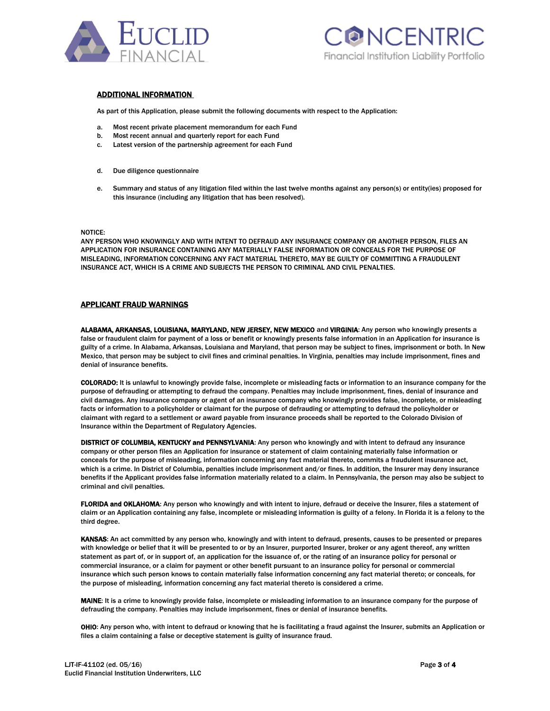



#### ADDITIONAL INFORMATION

As part of this Application, please submit the following documents with respect to the Application:

- a. Most recent private placement memorandum for each Fund
- b. Most recent annual and quarterly report for each Fund
- c. Latest version of the partnership agreement for each Fund
- d. Due diligence questionnaire
- e. Summary and status of any litigation filed within the last twelve months against any person(s) or entity(ies) proposed for this insurance (including any litigation that has been resolved).

#### NOTICE:

ANY PERSON WHO KNOWINGLY AND WITH INTENT TO DEFRAUD ANY INSURANCE COMPANY OR ANOTHER PERSON, FILES AN APPLICATION FOR INSURANCE CONTAINING ANY MATERIALLY FALSE INFORMATION OR CONCEALS FOR THE PURPOSE OF MISLEADING, INFORMATION CONCERNING ANY FACT MATERIAL THERETO, MAY BE GUILTY OF COMMITTING A FRAUDULENT INSURANCE ACT, WHICH IS A CRIME AND SUBJECTS THE PERSON TO CRIMINAL AND CIVIL PENALTIES.

#### APPLICANT FRAUD WARNINGS

ALABAMA, ARKANSAS, LOUISIANA, MARYLAND, NEW JERSEY, NEW MEXICO and VIRGINIA: Any person who knowingly presents a false or fraudulent claim for payment of a loss or benefit or knowingly presents false information in an Application for insurance is guilty of a crime. In Alabama, Arkansas, Louisiana and Maryland, that person may be subject to fines, imprisonment or both. In New Mexico, that person may be subject to civil fines and criminal penalties. In Virginia, penalties may include imprisonment, fines and denial of insurance benefits.

COLORADO: It is unlawful to knowingly provide false, incomplete or misleading facts or information to an insurance company for the purpose of defrauding or attempting to defraud the company. Penalties may include imprisonment, fines, denial of insurance and civil damages. Any insurance company or agent of an insurance company who knowingly provides false, incomplete, or misleading facts or information to a policyholder or claimant for the purpose of defrauding or attempting to defraud the policyholder or claimant with regard to a settlement or award payable from insurance proceeds shall be reported to the Colorado Division of Insurance within the Department of Regulatory Agencies.

DISTRICT OF COLUMBIA, KENTUCKY and PENNSYLVANIA: Any person who knowingly and with intent to defraud any insurance company or other person files an Application for insurance or statement of claim containing materially false information or conceals for the purpose of misleading, information concerning any fact material thereto, commits a fraudulent insurance act, which is a crime. In District of Columbia, penalties include imprisonment and/or fines. In addition, the Insurer may deny insurance benefits if the Applicant provides false information materially related to a claim. In Pennsylvania, the person may also be subject to criminal and civil penalties.

FLORIDA and OKLAHOMA: Any person who knowingly and with intent to injure, defraud or deceive the Insurer, files a statement of claim or an Application containing any false, incomplete or misleading information is guilty of a felony. In Florida it is a felony to the third degree.

KANSAS: An act committed by any person who, knowingly and with intent to defraud, presents, causes to be presented or prepares with knowledge or belief that it will be presented to or by an Insurer, purported Insurer, broker or any agent thereof, any written statement as part of, or in support of, an application for the issuance of, or the rating of an insurance policy for personal or commercial insurance, or a claim for payment or other benefit pursuant to an insurance policy for personal or commercial insurance which such person knows to contain materially false information concerning any fact material thereto; or conceals, for the purpose of misleading, information concerning any fact material thereto is considered a crime.

MAINE: It is a crime to knowingly provide false, incomplete or misleading information to an insurance company for the purpose of defrauding the company. Penalties may include imprisonment, fines or denial of insurance benefits.

OHIO: Any person who, with intent to defraud or knowing that he is facilitating a fraud against the Insurer, submits an Application or files a claim containing a false or deceptive statement is guilty of insurance fraud.